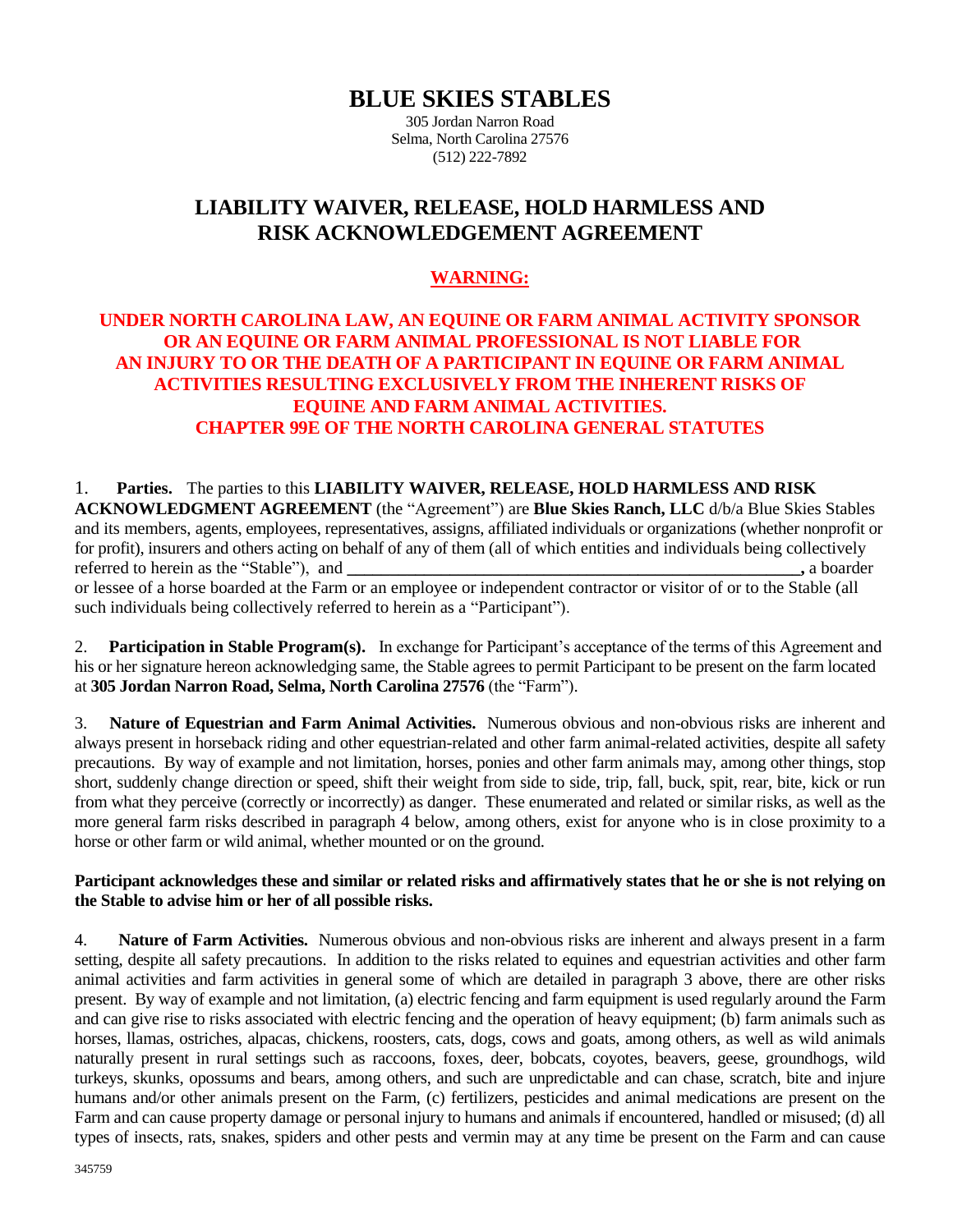# **BLUE SKIES STABLES**

305 Jordan Narron Road Selma, North Carolina 27576 (512) 222-7892

## **LIABILITY WAIVER, RELEASE, HOLD HARMLESS AND RISK ACKNOWLEDGEMENT AGREEMENT**

## **WARNING:**

### **UNDER NORTH CAROLINA LAW, AN EQUINE OR FARM ANIMAL ACTIVITY SPONSOR OR AN EQUINE OR FARM ANIMAL PROFESSIONAL IS NOT LIABLE FOR AN INJURY TO OR THE DEATH OF A PARTICIPANT IN EQUINE OR FARM ANIMAL ACTIVITIES RESULTING EXCLUSIVELY FROM THE INHERENT RISKS OF EQUINE AND FARM ANIMAL ACTIVITIES. CHAPTER 99E OF THE NORTH CAROLINA GENERAL STATUTES**

1. **Parties.** The parties to this **LIABILITY WAIVER, RELEASE, HOLD HARMLESS AND RISK ACKNOWLEDGMENT AGREEMENT** (the "Agreement") are **Blue Skies Ranch, LLC** d/b/a Blue Skies Stables and its members, agents, employees, representatives, assigns, affiliated individuals or organizations (whether nonprofit or for profit), insurers and others acting on behalf of any of them (all of which entities and individuals being collectively referred to herein as the "Stable"), and **\_\_\_\_\_\_\_\_\_\_\_\_\_\_\_\_\_\_\_\_\_\_\_\_\_\_\_\_\_\_\_\_\_\_\_\_\_\_\_\_\_\_\_\_\_\_\_\_\_\_\_\_\_,** a boarder or lessee of a horse boarded at the Farm or an employee or independent contractor or visitor of or to the Stable (all such individuals being collectively referred to herein as a "Participant").

2. **Participation in Stable Program(s).** In exchange for Participant's acceptance of the terms of this Agreement and his or her signature hereon acknowledging same, the Stable agrees to permit Participant to be present on the farm located at **305 Jordan Narron Road, Selma, North Carolina 27576** (the "Farm").

3. **Nature of Equestrian and Farm Animal Activities.** Numerous obvious and non-obvious risks are inherent and always present in horseback riding and other equestrian-related and other farm animal-related activities, despite all safety precautions. By way of example and not limitation, horses, ponies and other farm animals may, among other things, stop short, suddenly change direction or speed, shift their weight from side to side, trip, fall, buck, spit, rear, bite, kick or run from what they perceive (correctly or incorrectly) as danger. These enumerated and related or similar risks, as well as the more general farm risks described in paragraph 4 below, among others, exist for anyone who is in close proximity to a horse or other farm or wild animal, whether mounted or on the ground.

#### **Participant acknowledges these and similar or related risks and affirmatively states that he or she is not relying on the Stable to advise him or her of all possible risks.**

4. **Nature of Farm Activities.** Numerous obvious and non-obvious risks are inherent and always present in a farm setting, despite all safety precautions. In addition to the risks related to equines and equestrian activities and other farm animal activities and farm activities in general some of which are detailed in paragraph 3 above, there are other risks present. By way of example and not limitation, (a) electric fencing and farm equipment is used regularly around the Farm and can give rise to risks associated with electric fencing and the operation of heavy equipment; (b) farm animals such as horses, llamas, ostriches, alpacas, chickens, roosters, cats, dogs, cows and goats, among others, as well as wild animals naturally present in rural settings such as raccoons, foxes, deer, bobcats, coyotes, beavers, geese, groundhogs, wild turkeys, skunks, opossums and bears, among others, and such are unpredictable and can chase, scratch, bite and injure humans and/or other animals present on the Farm, (c) fertilizers, pesticides and animal medications are present on the Farm and can cause property damage or personal injury to humans and animals if encountered, handled or misused; (d) all types of insects, rats, snakes, spiders and other pests and vermin may at any time be present on the Farm and can cause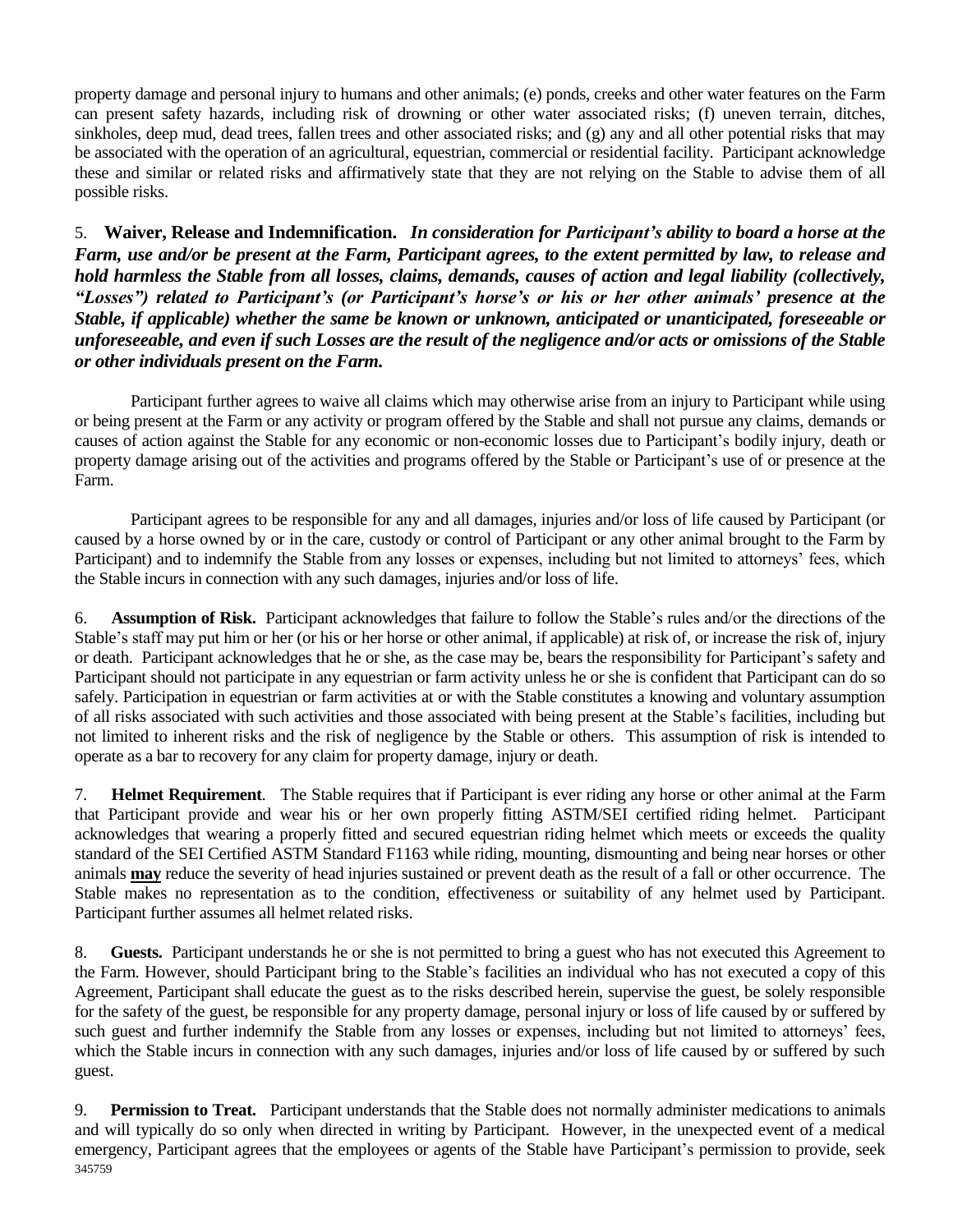property damage and personal injury to humans and other animals; (e) ponds, creeks and other water features on the Farm can present safety hazards, including risk of drowning or other water associated risks; (f) uneven terrain, ditches, sinkholes, deep mud, dead trees, fallen trees and other associated risks; and (g) any and all other potential risks that may be associated with the operation of an agricultural, equestrian, commercial or residential facility. Participant acknowledge these and similar or related risks and affirmatively state that they are not relying on the Stable to advise them of all possible risks.

5. **Waiver, Release and Indemnification.** *In consideration for Participant's ability to board a horse at the Farm, use and/or be present at the Farm, Participant agrees, to the extent permitted by law, to release and hold harmless the Stable from all losses, claims, demands, causes of action and legal liability (collectively, "Losses") related to Participant's (or Participant's horse's or his or her other animals' presence at the Stable, if applicable) whether the same be known or unknown, anticipated or unanticipated, foreseeable or unforeseeable, and even if such Losses are the result of the negligence and/or acts or omissions of the Stable or other individuals present on the Farm.*

Participant further agrees to waive all claims which may otherwise arise from an injury to Participant while using or being present at the Farm or any activity or program offered by the Stable and shall not pursue any claims, demands or causes of action against the Stable for any economic or non-economic losses due to Participant's bodily injury, death or property damage arising out of the activities and programs offered by the Stable or Participant's use of or presence at the Farm.

Participant agrees to be responsible for any and all damages, injuries and/or loss of life caused by Participant (or caused by a horse owned by or in the care, custody or control of Participant or any other animal brought to the Farm by Participant) and to indemnify the Stable from any losses or expenses, including but not limited to attorneys' fees, which the Stable incurs in connection with any such damages, injuries and/or loss of life.

6. **Assumption of Risk.** Participant acknowledges that failure to follow the Stable's rules and/or the directions of the Stable's staff may put him or her (or his or her horse or other animal, if applicable) at risk of, or increase the risk of, injury or death. Participant acknowledges that he or she, as the case may be, bears the responsibility for Participant's safety and Participant should not participate in any equestrian or farm activity unless he or she is confident that Participant can do so safely. Participation in equestrian or farm activities at or with the Stable constitutes a knowing and voluntary assumption of all risks associated with such activities and those associated with being present at the Stable's facilities, including but not limited to inherent risks and the risk of negligence by the Stable or others. This assumption of risk is intended to operate as a bar to recovery for any claim for property damage, injury or death.

7. **Helmet Requirement**. The Stable requires that if Participant is ever riding any horse or other animal at the Farm that Participant provide and wear his or her own properly fitting ASTM/SEI certified riding helmet. Participant acknowledges that wearing a properly fitted and secured equestrian riding helmet which meets or exceeds the quality standard of the SEI Certified ASTM Standard F1163 while riding, mounting, dismounting and being near horses or other animals **may** reduce the severity of head injuries sustained or prevent death as the result of a fall or other occurrence. The Stable makes no representation as to the condition, effectiveness or suitability of any helmet used by Participant. Participant further assumes all helmet related risks.

8. **Guests.** Participant understands he or she is not permitted to bring a guest who has not executed this Agreement to the Farm. However, should Participant bring to the Stable's facilities an individual who has not executed a copy of this Agreement, Participant shall educate the guest as to the risks described herein, supervise the guest, be solely responsible for the safety of the guest, be responsible for any property damage, personal injury or loss of life caused by or suffered by such guest and further indemnify the Stable from any losses or expenses, including but not limited to attorneys' fees, which the Stable incurs in connection with any such damages, injuries and/or loss of life caused by or suffered by such guest.

345759 9. **Permission to Treat.** Participant understands that the Stable does not normally administer medications to animals and will typically do so only when directed in writing by Participant. However, in the unexpected event of a medical emergency, Participant agrees that the employees or agents of the Stable have Participant's permission to provide, seek